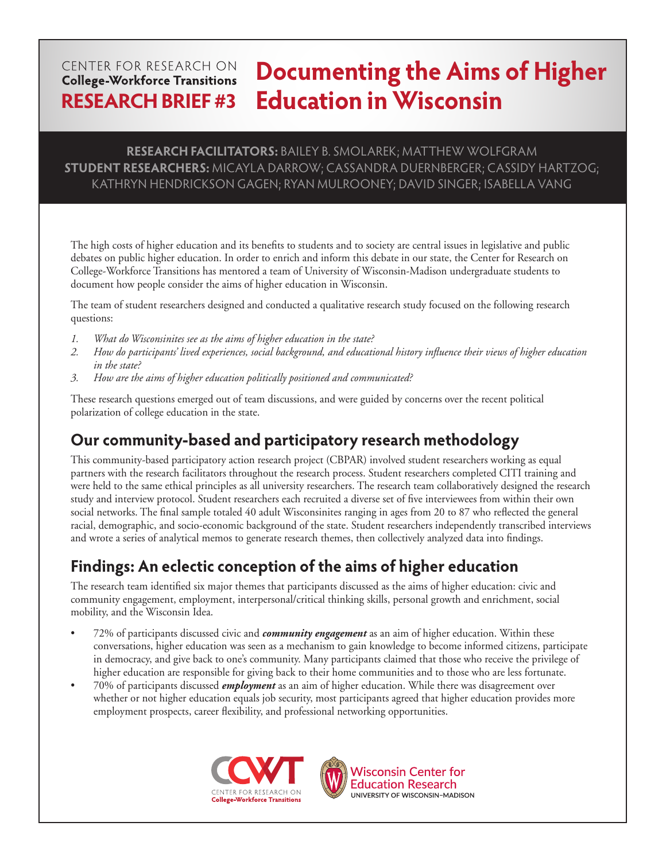#### **Documenting the Aims of Higher**  CENTER FOR RESEARCH ON **College-Workforce Transitions Education in WisconsinRESEARCH BRIEF #3**

#### **RESEARCH FACILITATORS:** BAILEY B. SMOLAREK; MATTHEW WOLFGRAM **STUDENT RESEARCHERS:** MICAYLA DARROW; CASSANDRA DUERNBERGER; CASSIDY HARTZOG; KATHRYN HENDRICKSON GAGEN; RYAN MULROONEY; DAVID SINGER; ISABELLA VANG

The high costs of higher education and its benefits to students and to society are central issues in legislative and public debates on public higher education. In order to enrich and inform this debate in our state, the Center for Research on College-Workforce Transitions has mentored a team of University of Wisconsin-Madison undergraduate students to document how people consider the aims of higher education in Wisconsin.

The team of student researchers designed and conducted a qualitative research study focused on the following research questions:

- *1. What do Wisconsinites see as the aims of higher education in the state?*
- *2. How do participants' lived experiences, social background, and educational history influence their views of higher education in the state?*
- *3. How are the aims of higher education politically positioned and communicated?*

These research questions emerged out of team discussions, and were guided by concerns over the recent political polarization of college education in the state.

## **Our community-based and participatory research methodology**

This community-based participatory action research project (CBPAR) involved student researchers working as equal partners with the research facilitators throughout the research process. Student researchers completed CITI training and were held to the same ethical principles as all university researchers. The research team collaboratively designed the research study and interview protocol. Student researchers each recruited a diverse set of five interviewees from within their own social networks. The final sample totaled 40 adult Wisconsinites ranging in ages from 20 to 87 who reflected the general racial, demographic, and socio-economic background of the state. Student researchers independently transcribed interviews and wrote a series of analytical memos to generate research themes, then collectively analyzed data into findings.

# **Findings: An eclectic conception of the aims of higher education**

The research team identified six major themes that participants discussed as the aims of higher education: civic and community engagement, employment, interpersonal/critical thinking skills, personal growth and enrichment, social mobility, and the Wisconsin Idea.

- 72% of participants discussed civic and *community engagement* as an aim of higher education. Within these conversations, higher education was seen as a mechanism to gain knowledge to become informed citizens, participate in democracy, and give back to one's community. Many participants claimed that those who receive the privilege of higher education are responsible for giving back to their home communities and to those who are less fortunate.
- 70% of participants discussed *employment* as an aim of higher education. While there was disagreement over whether or not higher education equals job security, most participants agreed that higher education provides more employment prospects, career flexibility, and professional networking opportunities.





**Wisconsin Center for Education Research** UNIVERSITY OF WISCONSIN-MADISON